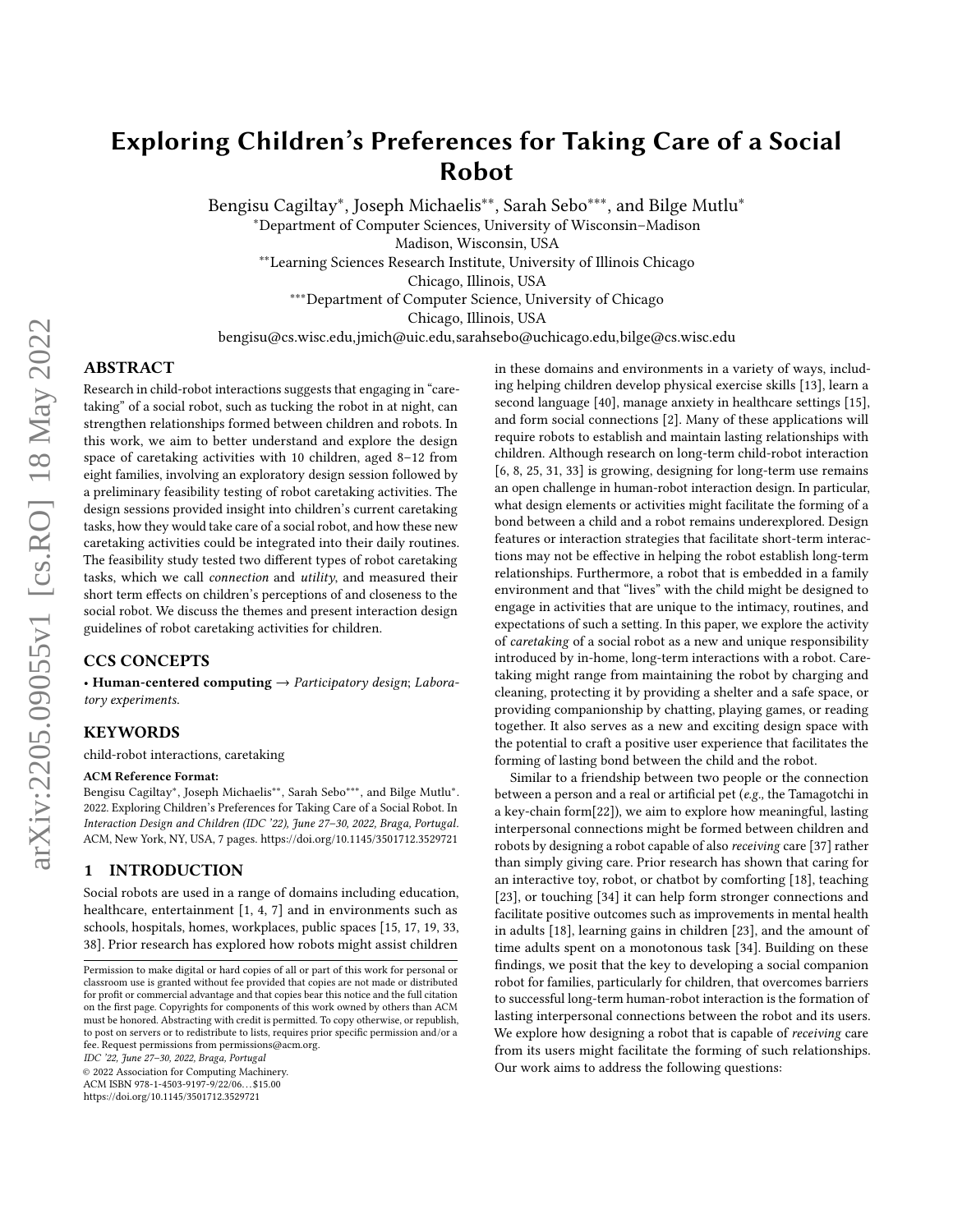# Exploring Children's Preferences for Taking Care of a Social Robot

Bengisu Cagiltay<sup>∗</sup>, Joseph Michaelis<sup>∗∗</sup>, Sarah Sebo<sup>∗∗∗</sup>, and Bilge Mutlu<sup>∗</sup> <sup>∗</sup>Department of Computer Sciences, University of Wisconsin–Madison

Madison, Wisconsin, USA

∗∗Learning Sciences Research Institute, University of Illinois Chicago

Chicago, Illinois, USA

∗∗∗Department of Computer Science, University of Chicago

Chicago, Illinois, USA

bengisu@cs.wisc.edu,jmich@uic.edu,sarahsebo@uchicago.edu,bilge@cs.wisc.edu

# ABSTRACT

Research in child-robot interactions suggests that engaging in "caretaking" of a social robot, such as tucking the robot in at night, can strengthen relationships formed between children and robots. In this work, we aim to better understand and explore the design space of caretaking activities with 10 children, aged 8–12 from eight families, involving an exploratory design session followed by a preliminary feasibility testing of robot caretaking activities. The design sessions provided insight into children's current caretaking tasks, how they would take care of a social robot, and how these new caretaking activities could be integrated into their daily routines. The feasibility study tested two different types of robot caretaking tasks, which we call connection and utility, and measured their short term effects on children's perceptions of and closeness to the social robot. We discuss the themes and present interaction design guidelines of robot caretaking activities for children.

# CCS CONCEPTS

• Human-centered computing  $\rightarrow$  Participatory design; Laboratory experiments.

#### **KEYWORDS**

child-robot interactions, caretaking

#### ACM Reference Format:

Bengisu Cagiltay<sup>∗</sup> , Joseph Michaelis∗∗, Sarah Sebo∗∗∗, and Bilge Mutlu<sup>∗</sup> . 2022. Exploring Children's Preferences for Taking Care of a Social Robot. In Interaction Design and Children (IDC '22), June 27–30, 2022, Braga, Portugal. ACM, New York, NY, USA, [7](#page-6-0) pages.<https://doi.org/10.1145/3501712.3529721>

# 1 INTRODUCTION

Social robots are used in a range of domains including education, healthcare, entertainment [\[1,](#page-6-1) [4,](#page-6-2) [7\]](#page-6-3) and in environments such as schools, hospitals, homes, workplaces, public spaces [\[15,](#page-6-4) [17,](#page-6-5) [19,](#page-6-6) [33,](#page-6-7) [38\]](#page-6-8). Prior research has explored how robots might assist children

IDC '22, June 27–30, 2022, Braga, Portugal

© 2022 Association for Computing Machinery.

ACM ISBN 978-1-4503-9197-9/22/06. . . \$15.00

<https://doi.org/10.1145/3501712.3529721>

in these domains and environments in a variety of ways, including helping children develop physical exercise skills [\[13\]](#page-6-9), learn a second language [\[40\]](#page-6-10), manage anxiety in healthcare settings [\[15\]](#page-6-4), and form social connections [\[2\]](#page-6-11). Many of these applications will require robots to establish and maintain lasting relationships with children. Although research on long-term child-robot interaction [\[6,](#page-6-12) [8,](#page-6-13) [25,](#page-6-14) [31,](#page-6-15) [33\]](#page-6-7) is growing, designing for long-term use remains an open challenge in human-robot interaction design. In particular, what design elements or activities might facilitate the forming of a bond between a child and a robot remains underexplored. Design features or interaction strategies that facilitate short-term interactions may not be effective in helping the robot establish long-term relationships. Furthermore, a robot that is embedded in a family environment and that "lives" with the child might be designed to engage in activities that are unique to the intimacy, routines, and expectations of such a setting. In this paper, we explore the activity of caretaking of a social robot as a new and unique responsibility introduced by in-home, long-term interactions with a robot. Caretaking might range from maintaining the robot by charging and cleaning, protecting it by providing a shelter and a safe space, or providing companionship by chatting, playing games, or reading together. It also serves as a new and exciting design space with the potential to craft a positive user experience that facilitates the forming of lasting bond between the child and the robot.

Similar to a friendship between two people or the connection between a person and a real or artificial pet (e.g., the Tamagotchi in a key-chain form[\[22\]](#page-6-16)), we aim to explore how meaningful, lasting interpersonal connections might be formed between children and robots by designing a robot capable of also receiving care [\[37\]](#page-6-17) rather than simply giving care. Prior research has shown that caring for an interactive toy, robot, or chatbot by comforting [\[18\]](#page-6-18), teaching [\[23\]](#page-6-19), or touching [\[34\]](#page-6-20) it can help form stronger connections and facilitate positive outcomes such as improvements in mental health in adults [\[18\]](#page-6-18), learning gains in children [\[23\]](#page-6-19), and the amount of time adults spent on a monotonous task [\[34\]](#page-6-20). Building on these findings, we posit that the key to developing a social companion robot for families, particularly for children, that overcomes barriers to successful long-term human-robot interaction is the formation of lasting interpersonal connections between the robot and its users. We explore how designing a robot that is capable of receiving care from its users might facilitate the forming of such relationships. Our work aims to address the following questions:

Permission to make digital or hard copies of all or part of this work for personal or classroom use is granted without fee provided that copies are not made or distributed for profit or commercial advantage and that copies bear this notice and the full citation on the first page. Copyrights for components of this work owned by others than ACM must be honored. Abstracting with credit is permitted. To copy otherwise, or republish, to post on servers or to redistribute to lists, requires prior specific permission and/or a fee. Request permissions from permissions@acm.org.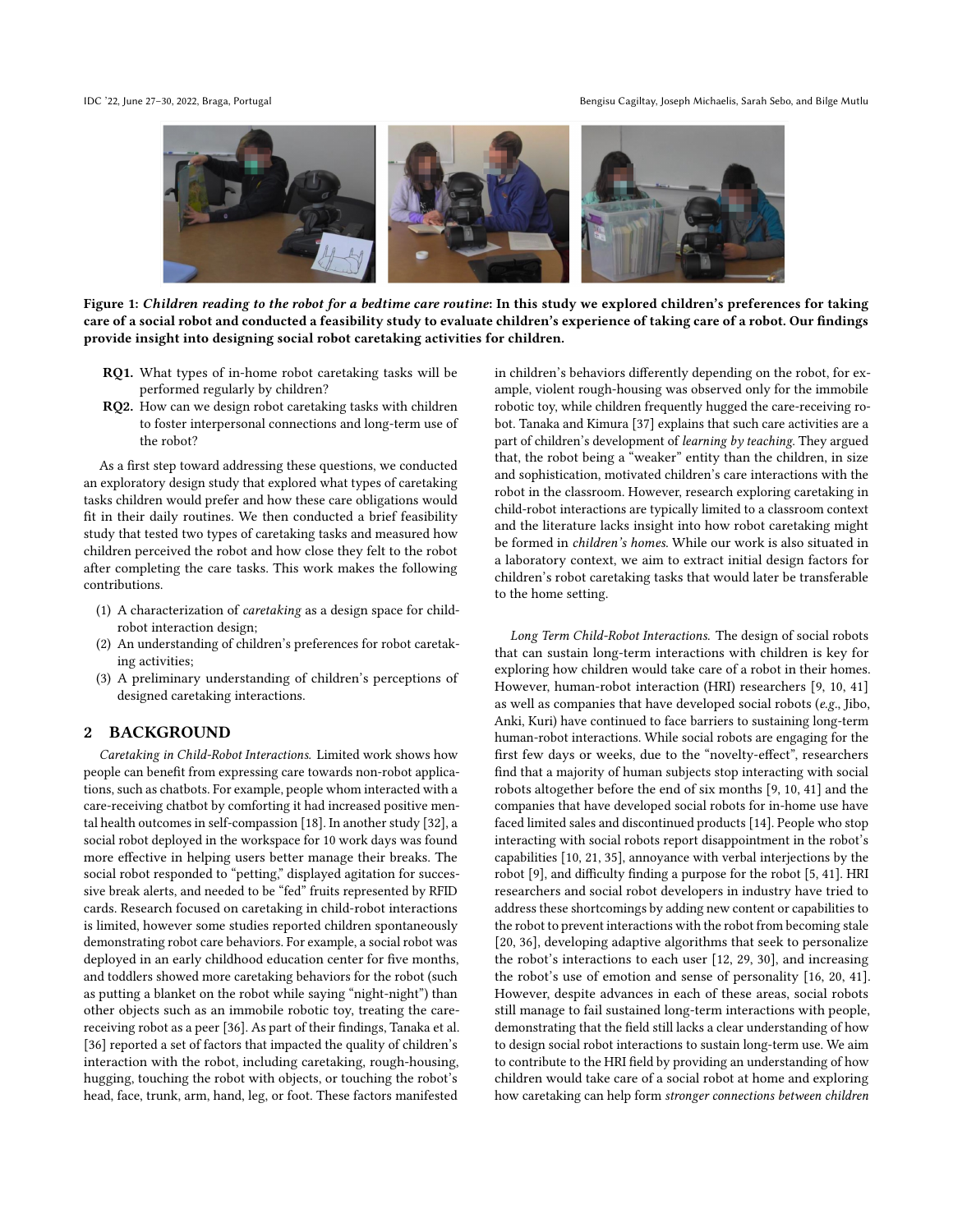

Figure 1: Children reading to the robot for a bedtime care routine: In this study we explored children's preferences for taking care of a social robot and conducted a feasibility study to evaluate children's experience of taking care of a robot. Our findings provide insight into designing social robot caretaking activities for children.

- RQ1. What types of in-home robot caretaking tasks will be performed regularly by children?
- RQ2. How can we design robot caretaking tasks with children to foster interpersonal connections and long-term use of the robot?

As a first step toward addressing these questions, we conducted an exploratory design study that explored what types of caretaking tasks children would prefer and how these care obligations would fit in their daily routines. We then conducted a brief feasibility study that tested two types of caretaking tasks and measured how children perceived the robot and how close they felt to the robot after completing the care tasks. This work makes the following contributions.

- (1) A characterization of caretaking as a design space for childrobot interaction design;
- (2) An understanding of children's preferences for robot caretaking activities;
- (3) A preliminary understanding of children's perceptions of designed caretaking interactions.

## 2 BACKGROUND

Caretaking in Child-Robot Interactions. Limited work shows how people can benefit from expressing care towards non-robot applications, such as chatbots. For example, people whom interacted with a care-receiving chatbot by comforting it had increased positive mental health outcomes in self-compassion [\[18\]](#page-6-18). In another study [\[32\]](#page-6-21), a social robot deployed in the workspace for 10 work days was found more effective in helping users better manage their breaks. The social robot responded to "petting," displayed agitation for successive break alerts, and needed to be "fed" fruits represented by RFID cards. Research focused on caretaking in child-robot interactions is limited, however some studies reported children spontaneously demonstrating robot care behaviors. For example, a social robot was deployed in an early childhood education center for five months, and toddlers showed more caretaking behaviors for the robot (such as putting a blanket on the robot while saying "night-night") than other objects such as an immobile robotic toy, treating the carereceiving robot as a peer [\[36\]](#page-6-22). As part of their findings, Tanaka et al. [\[36\]](#page-6-22) reported a set of factors that impacted the quality of children's interaction with the robot, including caretaking, rough-housing, hugging, touching the robot with objects, or touching the robot's head, face, trunk, arm, hand, leg, or foot. These factors manifested

in children's behaviors differently depending on the robot, for example, violent rough-housing was observed only for the immobile robotic toy, while children frequently hugged the care-receiving robot. Tanaka and Kimura [\[37\]](#page-6-17) explains that such care activities are a part of children's development of learning by teaching. They argued that, the robot being a "weaker" entity than the children, in size and sophistication, motivated children's care interactions with the robot in the classroom. However, research exploring caretaking in child-robot interactions are typically limited to a classroom context and the literature lacks insight into how robot caretaking might be formed in children's homes. While our work is also situated in a laboratory context, we aim to extract initial design factors for children's robot caretaking tasks that would later be transferable to the home setting.

Long Term Child-Robot Interactions. The design of social robots that can sustain long-term interactions with children is key for exploring how children would take care of a robot in their homes. However, human-robot interaction (HRI) researchers [\[9,](#page-6-23) [10,](#page-6-24) [41\]](#page-6-25) as well as companies that have developed social robots (e.g., Jibo, Anki, Kuri) have continued to face barriers to sustaining long-term human-robot interactions. While social robots are engaging for the first few days or weeks, due to the "novelty-effect", researchers find that a majority of human subjects stop interacting with social robots altogether before the end of six months [\[9,](#page-6-23) [10,](#page-6-24) [41\]](#page-6-25) and the companies that have developed social robots for in-home use have faced limited sales and discontinued products [\[14\]](#page-6-26). People who stop interacting with social robots report disappointment in the robot's capabilities [\[10,](#page-6-24) [21,](#page-6-27) [35\]](#page-6-28), annoyance with verbal interjections by the robot [\[9\]](#page-6-23), and difficulty finding a purpose for the robot [\[5,](#page-6-29) [41\]](#page-6-25). HRI researchers and social robot developers in industry have tried to address these shortcomings by adding new content or capabilities to the robot to prevent interactions with the robot from becoming stale [\[20,](#page-6-30) [36\]](#page-6-22), developing adaptive algorithms that seek to personalize the robot's interactions to each user [\[12,](#page-6-31) [29,](#page-6-32) [30\]](#page-6-33), and increasing the robot's use of emotion and sense of personality [\[16,](#page-6-34) [20,](#page-6-30) [41\]](#page-6-25). However, despite advances in each of these areas, social robots still manage to fail sustained long-term interactions with people, demonstrating that the field still lacks a clear understanding of how to design social robot interactions to sustain long-term use. We aim to contribute to the HRI field by providing an understanding of how children would take care of a social robot at home and exploring how caretaking can help form stronger connections between children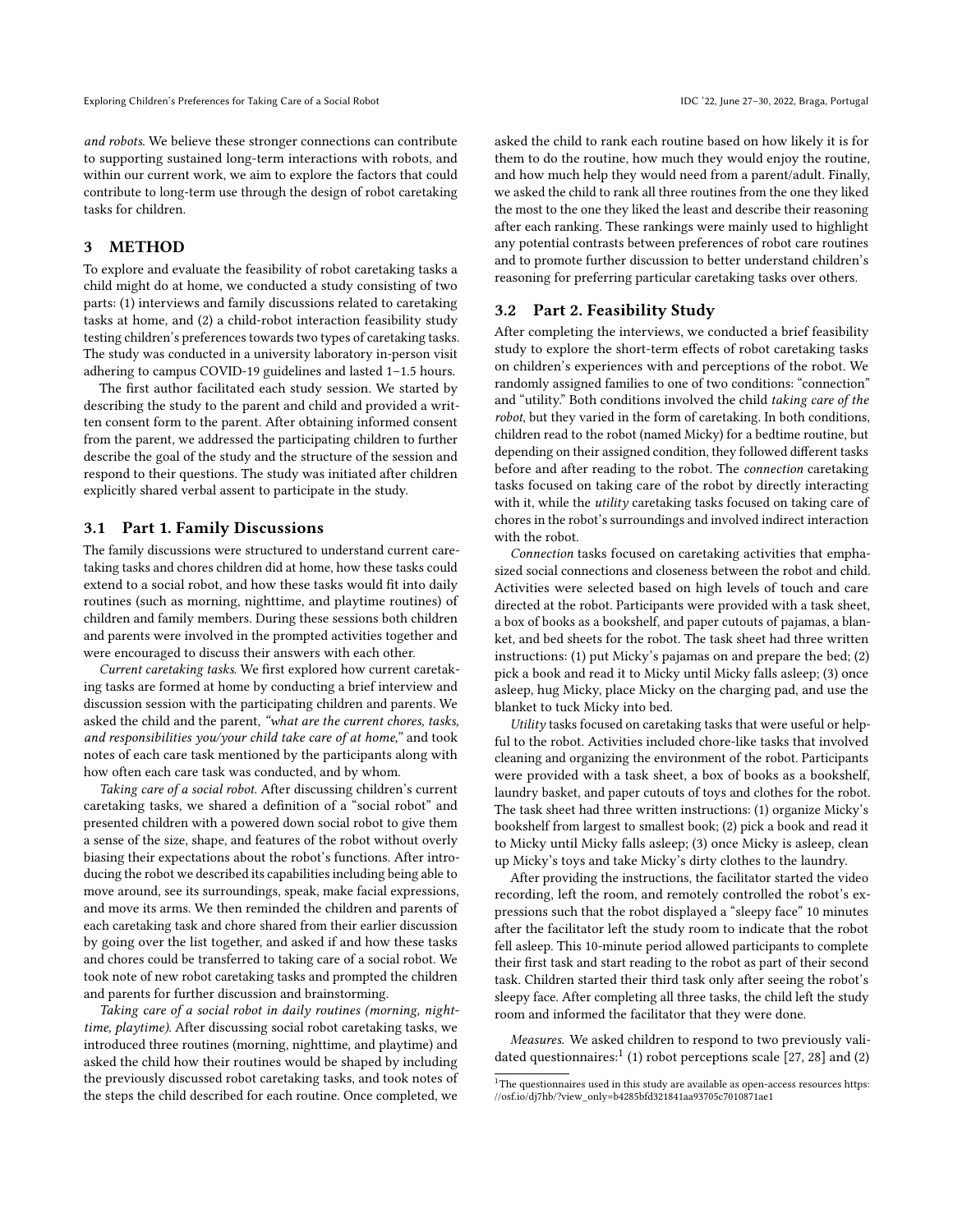and robots. We believe these stronger connections can contribute to supporting sustained long-term interactions with robots, and within our current work, we aim to explore the factors that could contribute to long-term use through the design of robot caretaking tasks for children.

# 3 METHOD

To explore and evaluate the feasibility of robot caretaking tasks a child might do at home, we conducted a study consisting of two parts: (1) interviews and family discussions related to caretaking tasks at home, and (2) a child-robot interaction feasibility study testing children's preferences towards two types of caretaking tasks. The study was conducted in a university laboratory in-person visit adhering to campus COVID-19 guidelines and lasted 1–1.5 hours.

The first author facilitated each study session. We started by describing the study to the parent and child and provided a written consent form to the parent. After obtaining informed consent from the parent, we addressed the participating children to further describe the goal of the study and the structure of the session and respond to their questions. The study was initiated after children explicitly shared verbal assent to participate in the study.

#### 3.1 Part 1. Family Discussions

The family discussions were structured to understand current caretaking tasks and chores children did at home, how these tasks could extend to a social robot, and how these tasks would fit into daily routines (such as morning, nighttime, and playtime routines) of children and family members. During these sessions both children and parents were involved in the prompted activities together and were encouraged to discuss their answers with each other.

Current caretaking tasks. We first explored how current caretaking tasks are formed at home by conducting a brief interview and discussion session with the participating children and parents. We asked the child and the parent, "what are the current chores, tasks, and responsibilities you/your child take care of at home," and took notes of each care task mentioned by the participants along with how often each care task was conducted, and by whom.

Taking care of a social robot. After discussing children's current caretaking tasks, we shared a definition of a "social robot" and presented children with a powered down social robot to give them a sense of the size, shape, and features of the robot without overly biasing their expectations about the robot's functions. After introducing the robot we described its capabilities including being able to move around, see its surroundings, speak, make facial expressions, and move its arms. We then reminded the children and parents of each caretaking task and chore shared from their earlier discussion by going over the list together, and asked if and how these tasks and chores could be transferred to taking care of a social robot. We took note of new robot caretaking tasks and prompted the children and parents for further discussion and brainstorming.

Taking care of a social robot in daily routines (morning, nighttime, playtime). After discussing social robot caretaking tasks, we introduced three routines (morning, nighttime, and playtime) and asked the child how their routines would be shaped by including the previously discussed robot caretaking tasks, and took notes of the steps the child described for each routine. Once completed, we

asked the child to rank each routine based on how likely it is for them to do the routine, how much they would enjoy the routine, and how much help they would need from a parent/adult. Finally, we asked the child to rank all three routines from the one they liked the most to the one they liked the least and describe their reasoning after each ranking. These rankings were mainly used to highlight any potential contrasts between preferences of robot care routines and to promote further discussion to better understand children's reasoning for preferring particular caretaking tasks over others.

#### 3.2 Part 2. Feasibility Study

After completing the interviews, we conducted a brief feasibility study to explore the short-term effects of robot caretaking tasks on children's experiences with and perceptions of the robot. We randomly assigned families to one of two conditions: "connection" and "utility." Both conditions involved the child taking care of the robot, but they varied in the form of caretaking. In both conditions, children read to the robot (named Micky) for a bedtime routine, but depending on their assigned condition, they followed different tasks before and after reading to the robot. The connection caretaking tasks focused on taking care of the robot by directly interacting with it, while the *utility* caretaking tasks focused on taking care of chores in the robot's surroundings and involved indirect interaction with the robot.

Connection tasks focused on caretaking activities that emphasized social connections and closeness between the robot and child. Activities were selected based on high levels of touch and care directed at the robot. Participants were provided with a task sheet, a box of books as a bookshelf, and paper cutouts of pajamas, a blanket, and bed sheets for the robot. The task sheet had three written instructions: (1) put Micky's pajamas on and prepare the bed; (2) pick a book and read it to Micky until Micky falls asleep; (3) once asleep, hug Micky, place Micky on the charging pad, and use the blanket to tuck Micky into bed.

Utility tasks focused on caretaking tasks that were useful or helpful to the robot. Activities included chore-like tasks that involved cleaning and organizing the environment of the robot. Participants were provided with a task sheet, a box of books as a bookshelf, laundry basket, and paper cutouts of toys and clothes for the robot. The task sheet had three written instructions: (1) organize Micky's bookshelf from largest to smallest book; (2) pick a book and read it to Micky until Micky falls asleep; (3) once Micky is asleep, clean up Micky's toys and take Micky's dirty clothes to the laundry.

After providing the instructions, the facilitator started the video recording, left the room, and remotely controlled the robot's expressions such that the robot displayed a "sleepy face" 10 minutes after the facilitator left the study room to indicate that the robot fell asleep. This 10-minute period allowed participants to complete their first task and start reading to the robot as part of their second task. Children started their third task only after seeing the robot's sleepy face. After completing all three tasks, the child left the study room and informed the facilitator that they were done.

Measures. We asked children to respond to two previously vali-dated questionnaires:<sup>[1](#page-2-0)</sup> (1) robot perceptions scale [\[27,](#page-6-35) [28\]](#page-6-36) and (2)

<span id="page-2-0"></span> $^{\rm 1}{\rm The}$  questionnaires used in this study are available as open-access resources [https:](https://osf.io/dj7hb/?view_only=b4285bfd321841aa93705c7010871ae1) [//osf.io/dj7hb/?view\\_only=b4285bfd321841aa93705c7010871ae1](https://osf.io/dj7hb/?view_only=b4285bfd321841aa93705c7010871ae1)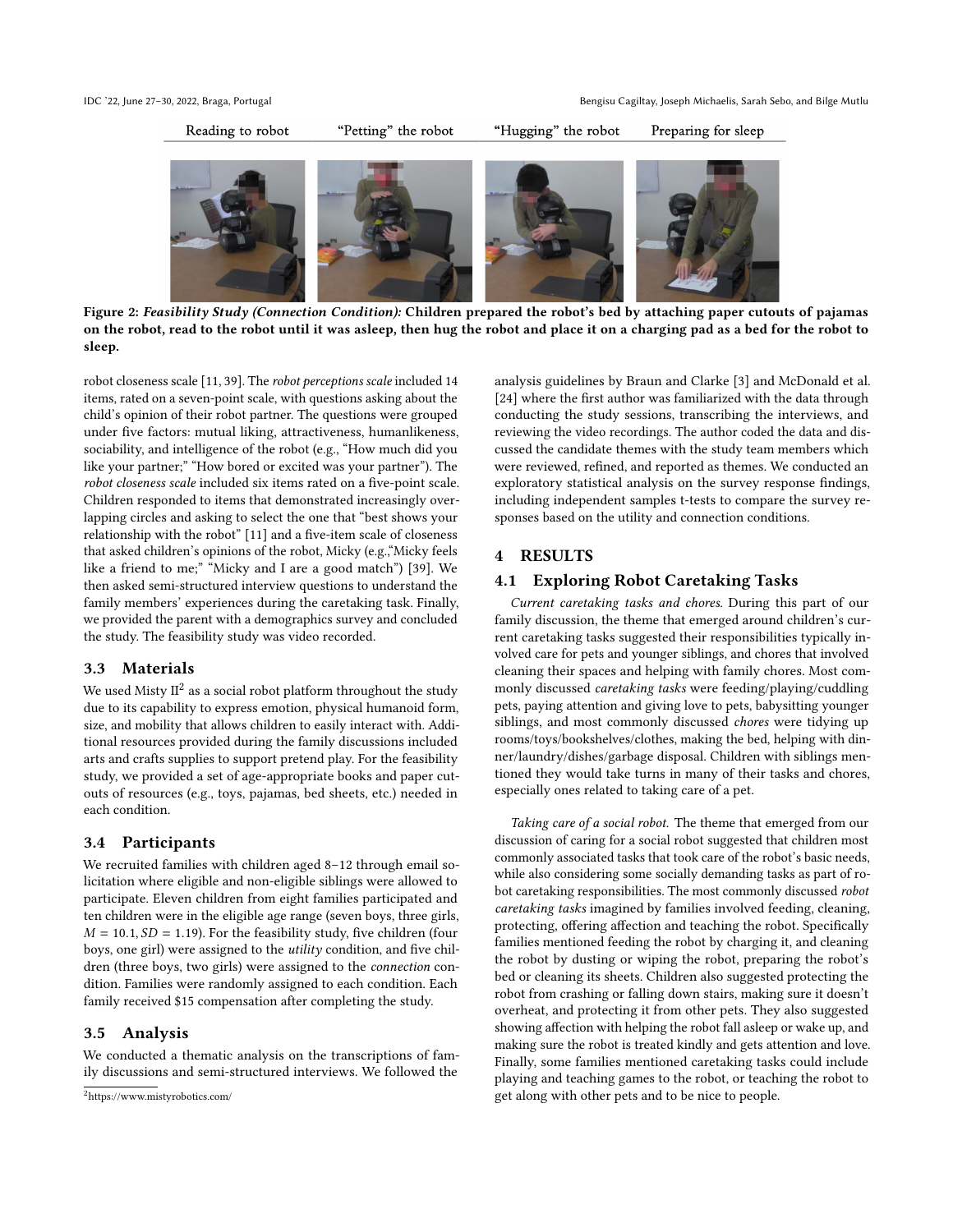

Figure 2: Feasibility Study (Connection Condition): Children prepared the robot's bed by attaching paper cutouts of pajamas on the robot, read to the robot until it was asleep, then hug the robot and place it on a charging pad as a bed for the robot to sleep.

robot closeness scale [\[11,](#page-6-37) [39\]](#page-6-38). The robot perceptions scale included 14 items, rated on a seven-point scale, with questions asking about the child's opinion of their robot partner. The questions were grouped under five factors: mutual liking, attractiveness, humanlikeness, sociability, and intelligence of the robot (e.g., "How much did you like your partner;" "How bored or excited was your partner"). The robot closeness scale included six items rated on a five-point scale. Children responded to items that demonstrated increasingly overlapping circles and asking to select the one that "best shows your relationship with the robot" [\[11\]](#page-6-37) and a five-item scale of closeness that asked children's opinions of the robot, Micky (e.g.,"Micky feels like a friend to me;" "Micky and I are a good match") [\[39\]](#page-6-38). We then asked semi-structured interview questions to understand the family members' experiences during the caretaking task. Finally, we provided the parent with a demographics survey and concluded the study. The feasibility study was video recorded.

# 3.3 Materials

We used Misty  $\mathrm{II}^2$  $\mathrm{II}^2$  as a social robot platform throughout the study due to its capability to express emotion, physical humanoid form, size, and mobility that allows children to easily interact with. Additional resources provided during the family discussions included arts and crafts supplies to support pretend play. For the feasibility study, we provided a set of age-appropriate books and paper cutouts of resources (e.g., toys, pajamas, bed sheets, etc.) needed in each condition.

# 3.4 Participants

We recruited families with children aged 8–12 through email solicitation where eligible and non-eligible siblings were allowed to participate. Eleven children from eight families participated and ten children were in the eligible age range (seven boys, three girls,  $M = 10.1, SD = 1.19$ ). For the feasibility study, five children (four boys, one girl) were assigned to the utility condition, and five children (three boys, two girls) were assigned to the connection condition. Families were randomly assigned to each condition. Each family received \$15 compensation after completing the study.

# 3.5 Analysis

We conducted a thematic analysis on the transcriptions of family discussions and semi-structured interviews. We followed the

analysis guidelines by Braun and Clarke [\[3\]](#page-6-39) and McDonald et al. [\[24\]](#page-6-40) where the first author was familiarized with the data through conducting the study sessions, transcribing the interviews, and reviewing the video recordings. The author coded the data and discussed the candidate themes with the study team members which were reviewed, refined, and reported as themes. We conducted an exploratory statistical analysis on the survey response findings, including independent samples t-tests to compare the survey responses based on the utility and connection conditions.

# 4 RESULTS

# 4.1 Exploring Robot Caretaking Tasks

Current caretaking tasks and chores. During this part of our family discussion, the theme that emerged around children's current caretaking tasks suggested their responsibilities typically involved care for pets and younger siblings, and chores that involved cleaning their spaces and helping with family chores. Most commonly discussed caretaking tasks were feeding/playing/cuddling pets, paying attention and giving love to pets, babysitting younger siblings, and most commonly discussed chores were tidying up rooms/toys/bookshelves/clothes, making the bed, helping with dinner/laundry/dishes/garbage disposal. Children with siblings mentioned they would take turns in many of their tasks and chores, especially ones related to taking care of a pet.

Taking care of a social robot. The theme that emerged from our discussion of caring for a social robot suggested that children most commonly associated tasks that took care of the robot's basic needs, while also considering some socially demanding tasks as part of robot caretaking responsibilities. The most commonly discussed robot caretaking tasks imagined by families involved feeding, cleaning, protecting, offering affection and teaching the robot. Specifically families mentioned feeding the robot by charging it, and cleaning the robot by dusting or wiping the robot, preparing the robot's bed or cleaning its sheets. Children also suggested protecting the robot from crashing or falling down stairs, making sure it doesn't overheat, and protecting it from other pets. They also suggested showing affection with helping the robot fall asleep or wake up, and making sure the robot is treated kindly and gets attention and love. Finally, some families mentioned caretaking tasks could include playing and teaching games to the robot, or teaching the robot to get along with other pets and to be nice to people.

<span id="page-3-0"></span><sup>2</sup><https://www.mistyrobotics.com/>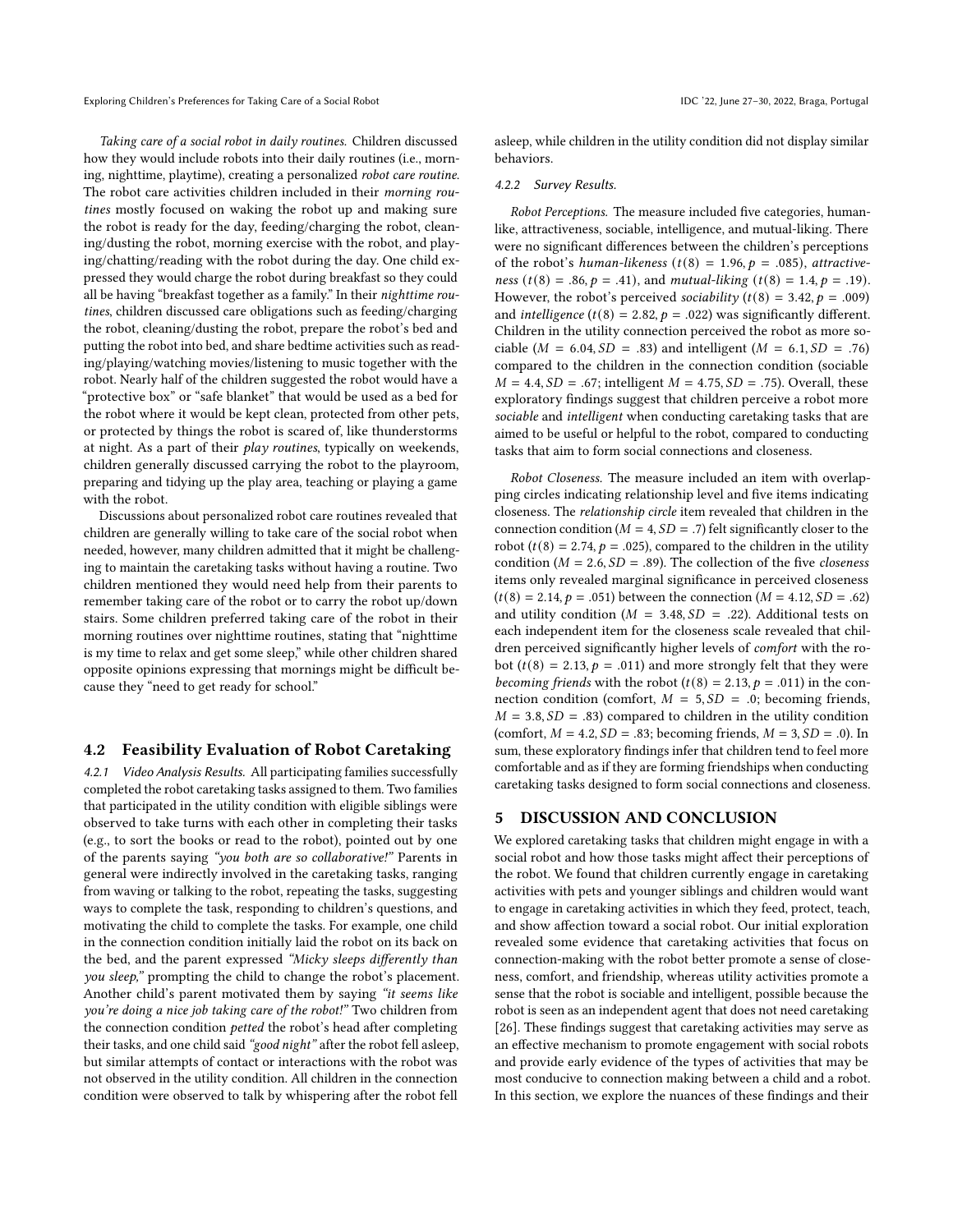Exploring Children's Preferences for Taking Care of a Social Robot **IDC** '22, June 27–30, 2022, Braga, Portugal

Taking care of a social robot in daily routines. Children discussed how they would include robots into their daily routines (i.e., morning, nighttime, playtime), creating a personalized robot care routine. The robot care activities children included in their morning routines mostly focused on waking the robot up and making sure the robot is ready for the day, feeding/charging the robot, cleaning/dusting the robot, morning exercise with the robot, and playing/chatting/reading with the robot during the day. One child expressed they would charge the robot during breakfast so they could all be having "breakfast together as a family." In their nighttime routines, children discussed care obligations such as feeding/charging the robot, cleaning/dusting the robot, prepare the robot's bed and putting the robot into bed, and share bedtime activities such as reading/playing/watching movies/listening to music together with the robot. Nearly half of the children suggested the robot would have a "protective box" or "safe blanket" that would be used as a bed for the robot where it would be kept clean, protected from other pets, or protected by things the robot is scared of, like thunderstorms at night. As a part of their play routines, typically on weekends, children generally discussed carrying the robot to the playroom, preparing and tidying up the play area, teaching or playing a game with the robot.

Discussions about personalized robot care routines revealed that children are generally willing to take care of the social robot when needed, however, many children admitted that it might be challenging to maintain the caretaking tasks without having a routine. Two children mentioned they would need help from their parents to remember taking care of the robot or to carry the robot up/down stairs. Some children preferred taking care of the robot in their morning routines over nighttime routines, stating that "nighttime is my time to relax and get some sleep," while other children shared opposite opinions expressing that mornings might be difficult because they "need to get ready for school."

#### 4.2 Feasibility Evaluation of Robot Caretaking

4.2.1 Video Analysis Results. All participating families successfully completed the robot caretaking tasks assigned to them. Two families that participated in the utility condition with eligible siblings were observed to take turns with each other in completing their tasks (e.g., to sort the books or read to the robot), pointed out by one of the parents saying "you both are so collaborative!" Parents in general were indirectly involved in the caretaking tasks, ranging from waving or talking to the robot, repeating the tasks, suggesting ways to complete the task, responding to children's questions, and motivating the child to complete the tasks. For example, one child in the connection condition initially laid the robot on its back on the bed, and the parent expressed "Micky sleeps differently than you sleep," prompting the child to change the robot's placement. Another child's parent motivated them by saying "it seems like you're doing a nice job taking care of the robot!" Two children from the connection condition petted the robot's head after completing their tasks, and one child said "good night" after the robot fell asleep, but similar attempts of contact or interactions with the robot was not observed in the utility condition. All children in the connection condition were observed to talk by whispering after the robot fell

asleep, while children in the utility condition did not display similar behaviors.

#### 4.2.2 Survey Results.

Robot Perceptions. The measure included five categories, humanlike, attractiveness, sociable, intelligence, and mutual-liking. There were no significant differences between the children's perceptions of the robot's human-likeness ( $t(8) = 1.96$ ,  $p = .085$ ), attractiveness (t(8) = .86,  $p = .41$ ), and mutual-liking (t(8) = 1.4,  $p = .19$ ). However, the robot's perceived *sociability* ( $t(8) = 3.42$ ,  $p = .009$ ) and *intelligence* ( $t(8) = 2.82$ ,  $p = .022$ ) was significantly different. Children in the utility connection perceived the robot as more sociable ( $M = 6.04$ ,  $SD = .83$ ) and intelligent ( $M = 6.1$ ,  $SD = .76$ ) compared to the children in the connection condition (sociable  $M = 4.4, SD = .67$ ; intelligent  $M = 4.75, SD = .75$ ). Overall, these exploratory findings suggest that children perceive a robot more sociable and intelligent when conducting caretaking tasks that are aimed to be useful or helpful to the robot, compared to conducting tasks that aim to form social connections and closeness.

Robot Closeness. The measure included an item with overlapping circles indicating relationship level and five items indicating closeness. The relationship circle item revealed that children in the connection condition ( $M = 4$ ,  $SD = .7$ ) felt significantly closer to the robot ( $t(8) = 2.74$ ,  $p = .025$ ), compared to the children in the utility condition ( $M = 2.6$ ,  $SD = .89$ ). The collection of the five *closeness* items only revealed marginal significance in perceived closeness  $(t(8) = 2.14, p = .051)$  between the connection  $(M = 4.12, SD = .62)$ and utility condition ( $M = 3.48$ ,  $SD = .22$ ). Additional tests on each independent item for the closeness scale revealed that children perceived significantly higher levels of *comfort* with the robot ( $t(8) = 2.13$ ,  $p = .011$ ) and more strongly felt that they were becoming friends with the robot ( $t(8) = 2.13$ ,  $p = .011$ ) in the connection condition (comfort,  $M = 5$ ,  $SD = .0$ ; becoming friends,  $M = 3.8, SD = .83$ ) compared to children in the utility condition (comfort,  $M = 4.2$ ,  $SD = .83$ ; becoming friends,  $M = 3$ ,  $SD = .0$ ). In sum, these exploratory findings infer that children tend to feel more comfortable and as if they are forming friendships when conducting caretaking tasks designed to form social connections and closeness.

## 5 DISCUSSION AND CONCLUSION

We explored caretaking tasks that children might engage in with a social robot and how those tasks might affect their perceptions of the robot. We found that children currently engage in caretaking activities with pets and younger siblings and children would want to engage in caretaking activities in which they feed, protect, teach, and show affection toward a social robot. Our initial exploration revealed some evidence that caretaking activities that focus on connection-making with the robot better promote a sense of closeness, comfort, and friendship, whereas utility activities promote a sense that the robot is sociable and intelligent, possible because the robot is seen as an independent agent that does not need caretaking [\[26\]](#page-6-41). These findings suggest that caretaking activities may serve as an effective mechanism to promote engagement with social robots and provide early evidence of the types of activities that may be most conducive to connection making between a child and a robot. In this section, we explore the nuances of these findings and their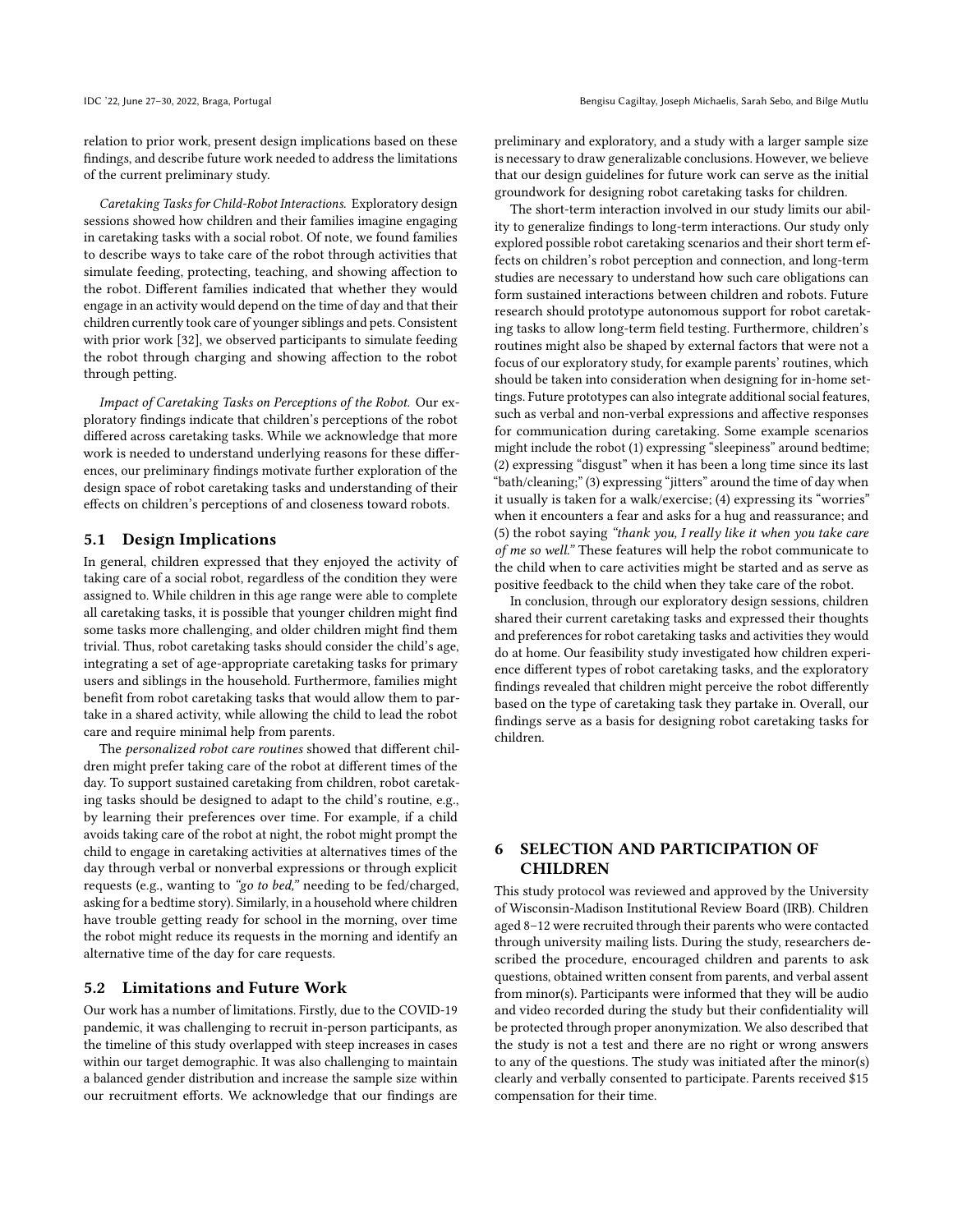relation to prior work, present design implications based on these findings, and describe future work needed to address the limitations of the current preliminary study.

Caretaking Tasks for Child-Robot Interactions. Exploratory design sessions showed how children and their families imagine engaging in caretaking tasks with a social robot. Of note, we found families to describe ways to take care of the robot through activities that simulate feeding, protecting, teaching, and showing affection to the robot. Different families indicated that whether they would engage in an activity would depend on the time of day and that their children currently took care of younger siblings and pets. Consistent with prior work [\[32\]](#page-6-21), we observed participants to simulate feeding the robot through charging and showing affection to the robot through petting.

Impact of Caretaking Tasks on Perceptions of the Robot. Our exploratory findings indicate that children's perceptions of the robot differed across caretaking tasks. While we acknowledge that more work is needed to understand underlying reasons for these differences, our preliminary findings motivate further exploration of the design space of robot caretaking tasks and understanding of their effects on children's perceptions of and closeness toward robots.

# 5.1 Design Implications

In general, children expressed that they enjoyed the activity of taking care of a social robot, regardless of the condition they were assigned to. While children in this age range were able to complete all caretaking tasks, it is possible that younger children might find some tasks more challenging, and older children might find them trivial. Thus, robot caretaking tasks should consider the child's age, integrating a set of age-appropriate caretaking tasks for primary users and siblings in the household. Furthermore, families might benefit from robot caretaking tasks that would allow them to partake in a shared activity, while allowing the child to lead the robot care and require minimal help from parents.

The personalized robot care routines showed that different children might prefer taking care of the robot at different times of the day. To support sustained caretaking from children, robot caretaking tasks should be designed to adapt to the child's routine, e.g., by learning their preferences over time. For example, if a child avoids taking care of the robot at night, the robot might prompt the child to engage in caretaking activities at alternatives times of the day through verbal or nonverbal expressions or through explicit requests (e.g., wanting to "go to bed," needing to be fed/charged, asking for a bedtime story). Similarly, in a household where children have trouble getting ready for school in the morning, over time the robot might reduce its requests in the morning and identify an alternative time of the day for care requests.

#### 5.2 Limitations and Future Work

Our work has a number of limitations. Firstly, due to the COVID-19 pandemic, it was challenging to recruit in-person participants, as the timeline of this study overlapped with steep increases in cases within our target demographic. It was also challenging to maintain a balanced gender distribution and increase the sample size within our recruitment efforts. We acknowledge that our findings are preliminary and exploratory, and a study with a larger sample size is necessary to draw generalizable conclusions. However, we believe that our design guidelines for future work can serve as the initial groundwork for designing robot caretaking tasks for children.

The short-term interaction involved in our study limits our ability to generalize findings to long-term interactions. Our study only explored possible robot caretaking scenarios and their short term effects on children's robot perception and connection, and long-term studies are necessary to understand how such care obligations can form sustained interactions between children and robots. Future research should prototype autonomous support for robot caretaking tasks to allow long-term field testing. Furthermore, children's routines might also be shaped by external factors that were not a focus of our exploratory study, for example parents' routines, which should be taken into consideration when designing for in-home settings. Future prototypes can also integrate additional social features, such as verbal and non-verbal expressions and affective responses for communication during caretaking. Some example scenarios might include the robot (1) expressing "sleepiness" around bedtime; (2) expressing "disgust" when it has been a long time since its last "bath/cleaning;" (3) expressing "jitters" around the time of day when it usually is taken for a walk/exercise; (4) expressing its "worries" when it encounters a fear and asks for a hug and reassurance; and (5) the robot saying "thank you, I really like it when you take care of me so well." These features will help the robot communicate to the child when to care activities might be started and as serve as positive feedback to the child when they take care of the robot.

In conclusion, through our exploratory design sessions, children shared their current caretaking tasks and expressed their thoughts and preferences for robot caretaking tasks and activities they would do at home. Our feasibility study investigated how children experience different types of robot caretaking tasks, and the exploratory findings revealed that children might perceive the robot differently based on the type of caretaking task they partake in. Overall, our findings serve as a basis for designing robot caretaking tasks for children.

# 6 SELECTION AND PARTICIPATION OF CHILDREN

This study protocol was reviewed and approved by the University of Wisconsin-Madison Institutional Review Board (IRB). Children aged 8–12 were recruited through their parents who were contacted through university mailing lists. During the study, researchers described the procedure, encouraged children and parents to ask questions, obtained written consent from parents, and verbal assent from minor(s). Participants were informed that they will be audio and video recorded during the study but their confidentiality will be protected through proper anonymization. We also described that the study is not a test and there are no right or wrong answers to any of the questions. The study was initiated after the minor(s) clearly and verbally consented to participate. Parents received \$15 compensation for their time.